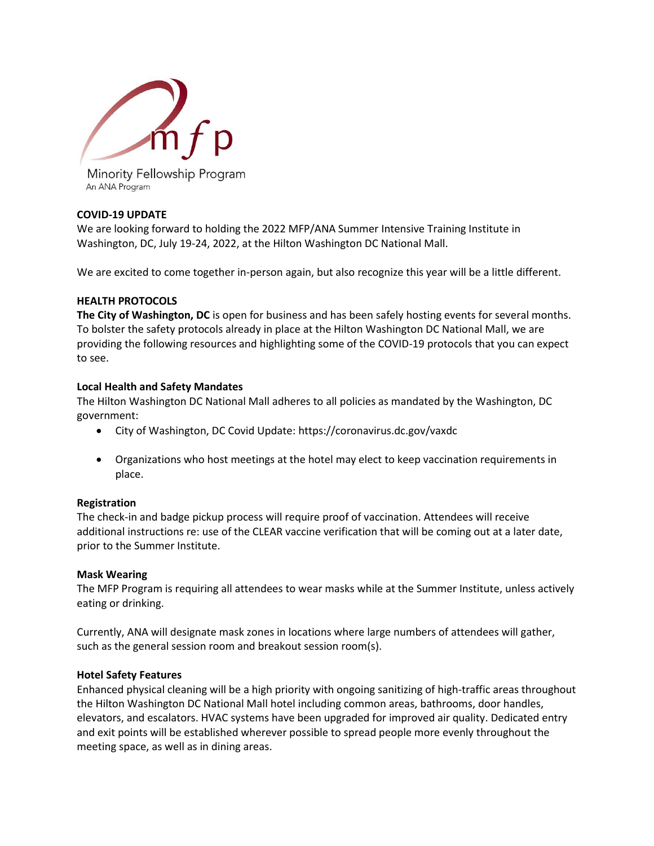

An ANA Program

# **COVID-19 UPDATE**

We are looking forward to holding the 2022 MFP/ANA Summer Intensive Training Institute in Washington, DC, July 19-24, 2022, at the Hilton Washington DC National Mall.

We are excited to come together in-person again, but also recognize this year will be a little different.

## **HEALTH PROTOCOLS**

**The City of Washington, DC** is open for business and has been safely hosting events for several months. To bolster the safety protocols already in place at the Hilton Washington DC National Mall, we are providing the following resources and highlighting some of the COVID-19 protocols that you can expect to see.

## **Local Health and Safety Mandates**

The Hilton Washington DC National Mall adheres to all policies as mandated by the Washington, DC government:

- City of Washington, DC Covid Update: https://coronavirus.dc.gov/vaxdc
- Organizations who host meetings at the hotel may elect to keep vaccination requirements in place.

## **Registration**

The check-in and badge pickup process will require proof of vaccination. Attendees will receive additional instructions re: use of the CLEAR vaccine verification that will be coming out at a later date, prior to the Summer Institute.

## **Mask Wearing**

The MFP Program is requiring all attendees to wear masks while at the Summer Institute, unless actively eating or drinking.

Currently, ANA will designate mask zones in locations where large numbers of attendees will gather, such as the general session room and breakout session room(s).

## **Hotel Safety Features**

Enhanced physical cleaning will be a high priority with ongoing sanitizing of high-traffic areas throughout the Hilton Washington DC National Mall hotel including common areas, bathrooms, door handles, elevators, and escalators. HVAC systems have been upgraded for improved air quality. Dedicated entry and exit points will be established wherever possible to spread people more evenly throughout the meeting space, as well as in dining areas.